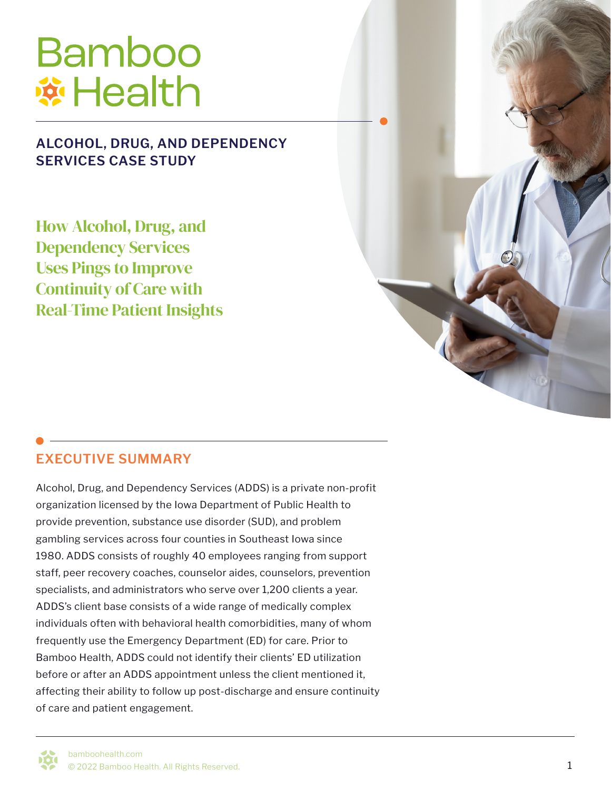# **Bamboo Wi Health**

#### **ALCOHOL, DRUG, AND DEPENDENCY SERVICES CASE STUDY**

How Alcohol, Drug, and Dependency Services Uses Pings to Improve Continuity of Care with Real-Time Patient Insights

#### **EXECUTIVE SUMMARY**

Alcohol, Drug, and Dependency Services (ADDS) is a private non-profit organization licensed by the Iowa Department of Public Health to provide prevention, substance use disorder (SUD), and problem gambling services across four counties in Southeast Iowa since 1980. ADDS consists of roughly 40 employees ranging from support staff, peer recovery coaches, counselor aides, counselors, prevention specialists, and administrators who serve over 1,200 clients a year. ADDS's client base consists of a wide range of medically complex individuals often with behavioral health comorbidities, many of whom frequently use the Emergency Department (ED) for care. Prior to Bamboo Health, ADDS could not identify their clients' ED utilization before or after an ADDS appointment unless the client mentioned it, affecting their ability to follow up post-discharge and ensure continuity of care and patient engagement.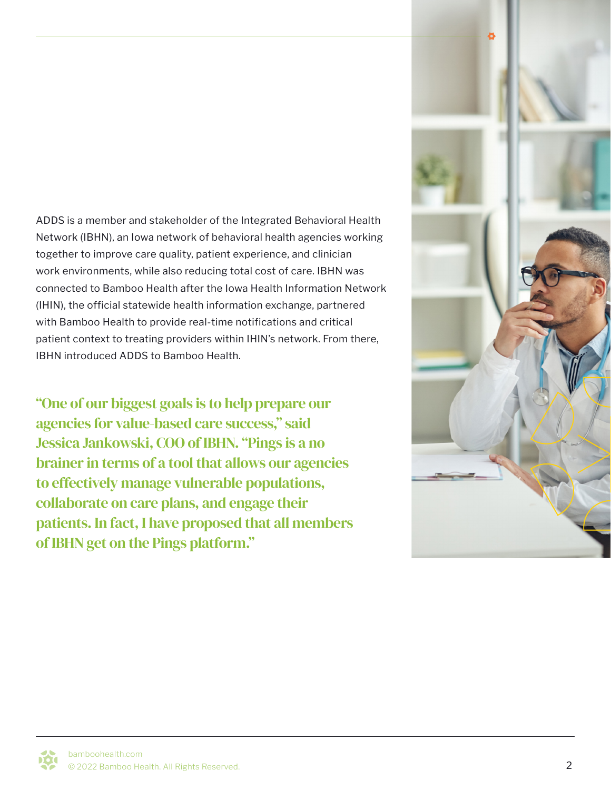ADDS is a member and stakeholder of the Integrated Behavioral Health Network (IBHN), an Iowa network of behavioral health agencies working together to improve care quality, patient experience, and clinician work environments, while also reducing total cost of care. IBHN was connected to Bamboo Health after the Iowa Health Information Network (IHIN), the official statewide health information exchange, partnered with Bamboo Health to provide real-time notifications and critical patient context to treating providers within IHIN's network. From there, IBHN introduced ADDS to Bamboo Health.

"One of our biggest goals is to help prepare our agencies for value-based care success," said Jessica Jankowski, COO of IBHN. "Pings is a no brainer in terms of a tool that allows our agencies to effectively manage vulnerable populations, collaborate on care plans, and engage their patients. In fact, I have proposed that all members of IBHN get on the Pings platform."

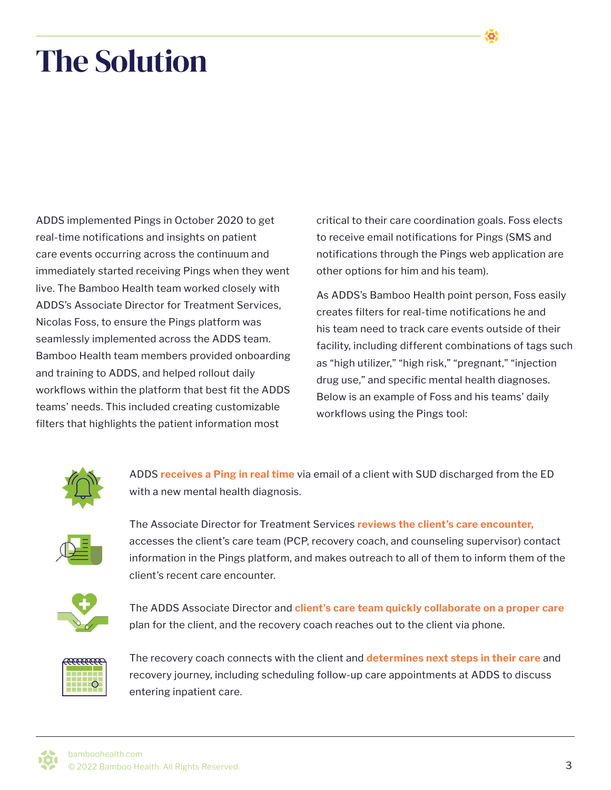## The Solution

ADDS implemented Pings in October 2020 to get real-time notifications and insights on patient care events occurring across the continuum and immediately started receiving Pings when they went live. The Bamboo Health team worked closely with ADDS's Associate Director for Treatment Services, Nicolas Foss, to ensure the Pings platform was seamlessly implemented across the ADDS team. Bamboo Health team members provided onboarding and training to ADDS, and helped rollout daily workflows within the platform that best fit the ADDS teams' needs. This included creating customizable filters that highlights the patient information most

critical to their care coordination goals. Foss elects to receive email notifications for Pings (SMS and notifications through the Pings web application are other options for him and his team).

As ADDS's Bamboo Health point person, Foss easily creates filters for real-time notifications he and his team need to track care events outside of their facility, including different combinations of tags such as "high utilizer," "high risk," "pregnant," "injection drug use," and specific mental health diagnoses. Below is an example of Foss and his teams' daily workflows using the Pings tool:



ADDS **receives a Ping in real time** via email of a client with SUD discharged from the ED with a new mental health diagnosis.



The Associate Director for Treatment Services **reviews the client's care encounter,** accesses the client's care team (PCP, recovery coach, and counseling supervisor) contact information in the Pings platform, and makes outreach to all of them to inform them of the client's recent care encounter.



The ADDS Associate Director and **client's care team quickly collaborate on a proper care**  plan for the client, and the recovery coach reaches out to the client via phone.



The recovery coach connects with the client and **determines next steps in their care** and recovery journey, including scheduling follow-up care appointments at ADDS to discuss entering inpatient care.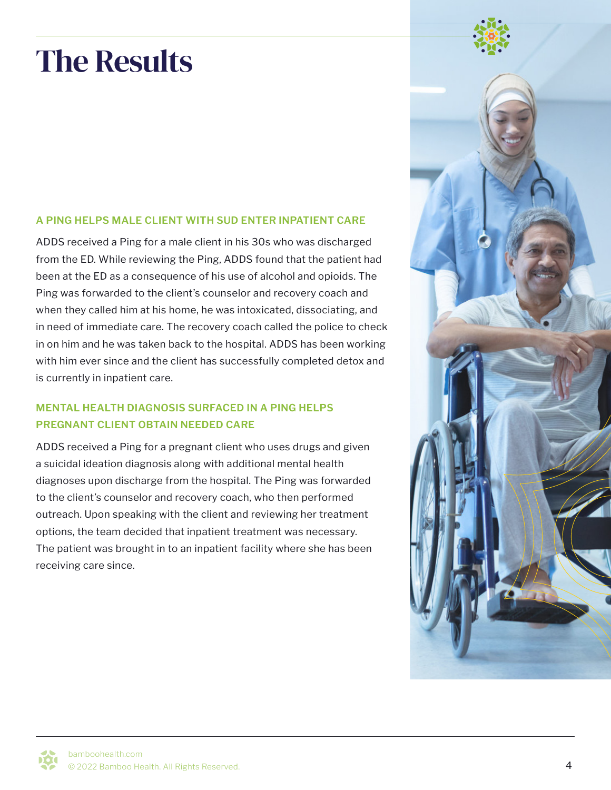## The Results

#### **A PING HELPS MALE CLIENT WITH SUD ENTER INPATIENT CARE**

ADDS received a Ping for a male client in his 30s who was discharged from the ED. While reviewing the Ping, ADDS found that the patient had been at the ED as a consequence of his use of alcohol and opioids. The Ping was forwarded to the client's counselor and recovery coach and when they called him at his home, he was intoxicated, dissociating, and in need of immediate care. The recovery coach called the police to check in on him and he was taken back to the hospital. ADDS has been working with him ever since and the client has successfully completed detox and is currently in inpatient care.

#### **MENTAL HEALTH DIAGNOSIS SURFACED IN A PING HELPS PREGNANT CLIENT OBTAIN NEEDED CARE**

ADDS received a Ping for a pregnant client who uses drugs and given a suicidal ideation diagnosis along with additional mental health diagnoses upon discharge from the hospital. The Ping was forwarded to the client's counselor and recovery coach, who then performed outreach. Upon speaking with the client and reviewing her treatment options, the team decided that inpatient treatment was necessary. The patient was brought in to an inpatient facility where she has been receiving care since.

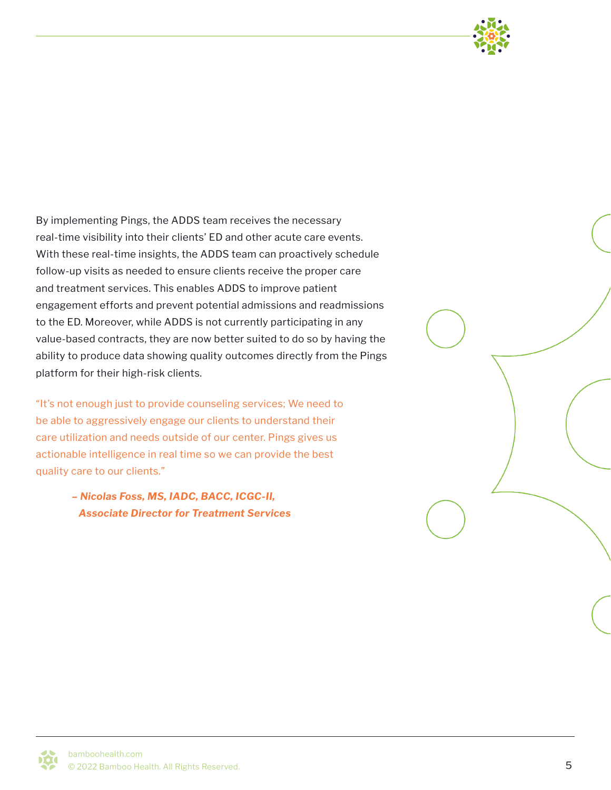

By implementing Pings, the ADDS team receives the necessary real-time visibility into their clients' ED and other acute care events. With these real-time insights, the ADDS team can proactively schedule follow-up visits as needed to ensure clients receive the proper care and treatment services. This enables ADDS to improve patient engagement efforts and prevent potential admissions and readmissions to the ED. Moreover, while ADDS is not currently participating in any value-based contracts, they are now better suited to do so by having the ability to produce data showing quality outcomes directly from the Pings platform for their high-risk clients.

"It's not enough just to provide counseling services; We need to be able to aggressively engage our clients to understand their care utilization and needs outside of our center. Pings gives us actionable intelligence in real time so we can provide the best quality care to our clients."

> *– Nicolas Foss, MS, IADC, BACC, ICGC-II, Associate Director for Treatment Services*